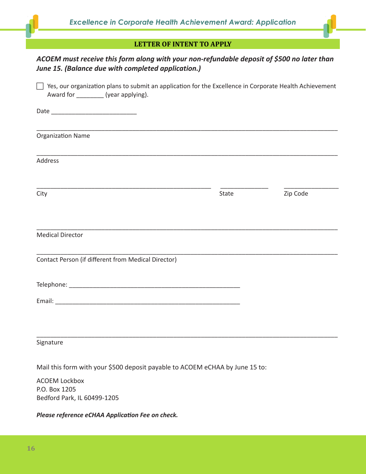## **LETTER OF INTENT TO APPLY**

| LETTER OF INTENT TO APPLY<br>ACOEM must receive this form along with your non-refundable deposit of \$500 no later than<br>June 15. (Balance due with completed application.) |       |          |
|-------------------------------------------------------------------------------------------------------------------------------------------------------------------------------|-------|----------|
|                                                                                                                                                                               |       |          |
|                                                                                                                                                                               |       |          |
| <b>Organization Name</b>                                                                                                                                                      |       |          |
| Address                                                                                                                                                                       |       |          |
| City                                                                                                                                                                          | State | Zip Code |
| <b>Medical Director</b>                                                                                                                                                       |       |          |
| Contact Person (if different from Medical Director)                                                                                                                           |       |          |
|                                                                                                                                                                               |       |          |
|                                                                                                                                                                               |       |          |
| Signature                                                                                                                                                                     |       |          |
| Mail this form with your \$500 denosit payable to ACOFM eCHAA by lune 15 to:                                                                                                  |       |          |

Mail this form with your \$500 deposit payable to ACOEM eCHAA by June 15 to:

ACOEM Lockbox P.O. Box 1205 Bedford Park, IL 60499-1205

*Please reference eCHAA Application Fee on check.*